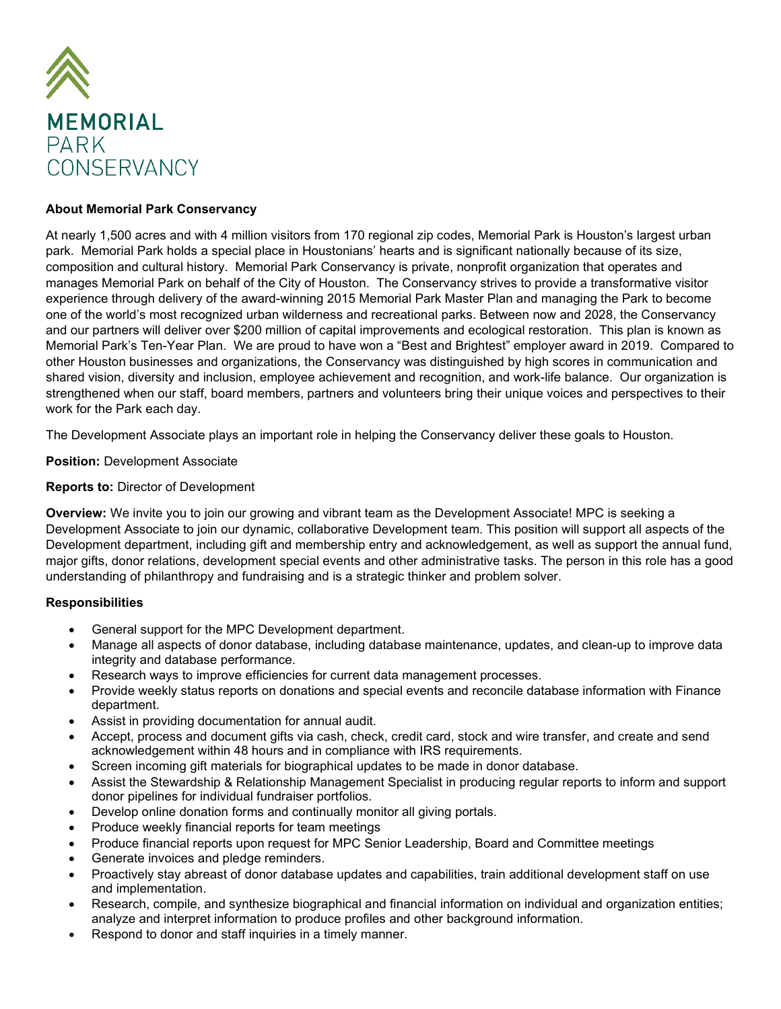

# **About Memorial Park Conservancy**

At nearly 1,500 acres and with 4 million visitors from 170 regional zip codes, Memorial Park is Houston's largest urban park. Memorial Park holds a special place in Houstonians' hearts and is significant nationally because of its size, composition and cultural history. Memorial Park Conservancy is private, nonprofit organization that operates and manages Memorial Park on behalf of the City of Houston. The Conservancy strives to provide a transformative visitor experience through delivery of the award-winning 2015 Memorial Park Master Plan and managing the Park to become one of the world's most recognized urban wilderness and recreational parks. Between now and 2028, the Conservancy and our partners will deliver over \$200 million of capital improvements and ecological restoration. This plan is known as Memorial Park's Ten-Year Plan. We are proud to have won a "Best and Brightest" employer award in 2019. Compared to other Houston businesses and organizations, the Conservancy was distinguished by high scores in communication and shared vision, diversity and inclusion, employee achievement and recognition, and work-life balance. Our organization is strengthened when our staff, board members, partners and volunteers bring their unique voices and perspectives to their work for the Park each day.

The Development Associate plays an important role in helping the Conservancy deliver these goals to Houston.

**Position:** Development Associate

# **Reports to:** Director of Development

**Overview:** We invite you to join our growing and vibrant team as the Development Associate! MPC is seeking a Development Associate to join our dynamic, collaborative Development team. This position will support all aspects of the Development department, including gift and membership entry and acknowledgement, as well as support the annual fund, major gifts, donor relations, development special events and other administrative tasks. The person in this role has a good understanding of philanthropy and fundraising and is a strategic thinker and problem solver.

# **Responsibilities**

- General support for the MPC Development department.
- Manage all aspects of donor database, including database maintenance, updates, and clean-up to improve data integrity and database performance.
- Research ways to improve efficiencies for current data management processes.
- Provide weekly status reports on donations and special events and reconcile database information with Finance department.
- Assist in providing documentation for annual audit.
- Accept, process and document gifts via cash, check, credit card, stock and wire transfer, and create and send acknowledgement within 48 hours and in compliance with IRS requirements.
- Screen incoming gift materials for biographical updates to be made in donor database.
- Assist the Stewardship & Relationship Management Specialist in producing regular reports to inform and support donor pipelines for individual fundraiser portfolios.
- Develop online donation forms and continually monitor all giving portals.
- Produce weekly financial reports for team meetings
- Produce financial reports upon request for MPC Senior Leadership, Board and Committee meetings
- Generate invoices and pledge reminders.
- Proactively stay abreast of donor database updates and capabilities, train additional development staff on use and implementation.
- Research, compile, and synthesize biographical and financial information on individual and organization entities; analyze and interpret information to produce profiles and other background information.
- Respond to donor and staff inquiries in a timely manner.